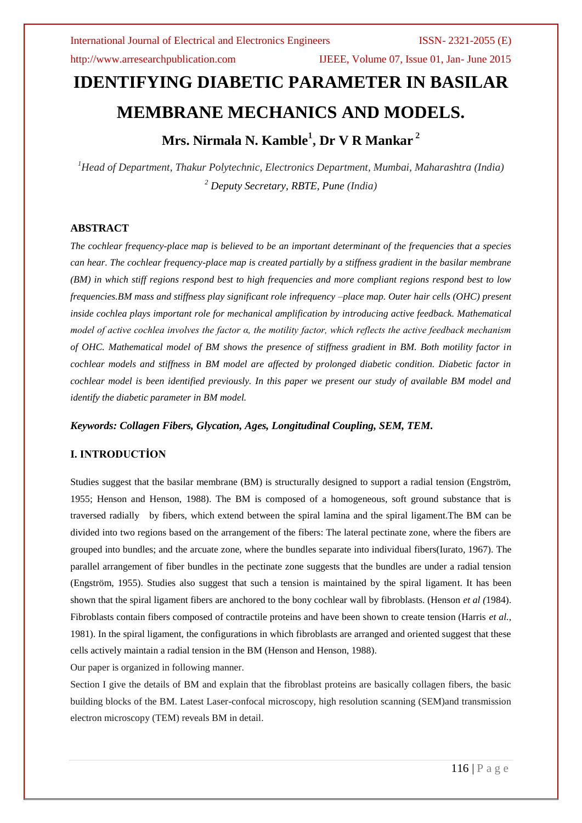http://www.arresearchpublication.com IJEEE, Volume 07, Issue 01, Jan- June 2015

# **IDENTIFYING DIABETIC PARAMETER IN BASILAR MEMBRANE MECHANICS AND MODELS.**

## **Mrs. Nirmala N. Kamble<sup>1</sup> , Dr V R Mankar <sup>2</sup>**

*<sup>1</sup>Head of Department, Thakur Polytechnic, Electronics Department, Mumbai, Maharashtra (India) <sup>2</sup> Deputy Secretary, RBTE, Pune (India)*

### **ABSTRACT**

*The cochlear frequency-place map is believed to be an important determinant of the frequencies that a species can hear. The cochlear frequency-place map is created partially by a stiffness gradient in the basilar membrane (BM) in which stiff regions respond best to high frequencies and more compliant regions respond best to low frequencies.BM mass and stiffness play significant role infrequency –place map. Outer hair cells (OHC) present inside cochlea plays important role for mechanical amplification by introducing active feedback. Mathematical model of active cochlea involves the factor α, the motility factor, which reflects the active feedback mechanism of OHC. Mathematical model of BM shows the presence of stiffness gradient in BM. Both motility factor in cochlear models and stiffness in BM model are affected by prolonged diabetic condition. Diabetic factor in cochlear model is been identified previously. In this paper we present our study of available BM model and identify the diabetic parameter in BM model.*

### *Keywords: Collagen Fibers, Glycation, Ages, Longitudinal Coupling, SEM, TEM.*

### **I. INTRODUCTİON**

Studies suggest that the basilar membrane (BM) is structurally designed to support a radial tension (Engström, 1955; Henson and Henson, 1988). The BM is composed of a homogeneous, soft ground substance that is traversed radially by fibers, which extend between the spiral lamina and the spiral ligament.The BM can be divided into two regions based on the arrangement of the fibers: The lateral pectinate zone, where the fibers are grouped into bundles; and the arcuate zone, where the bundles separate into individual fibers(Iurato, 1967). The parallel arrangement of fiber bundles in the pectinate zone suggests that the bundles are under a radial tension (Engström, 1955). Studies also suggest that such a tension is maintained by the spiral ligament. It has been shown that the spiral ligament fibers are anchored to the bony cochlear wall by fibroblasts. (Henson *et al (*1984). Fibroblasts contain fibers composed of contractile proteins and have been shown to create tension (Harris *et al.*, 1981). In the spiral ligament, the configurations in which fibroblasts are arranged and oriented suggest that these cells actively maintain a radial tension in the BM (Henson and Henson, 1988).

Our paper is organized in following manner.

Section I give the details of BM and explain that the fibroblast proteins are basically collagen fibers, the basic building blocks of the BM. Latest Laser-confocal microscopy, high resolution scanning (SEM)and transmission electron microscopy (TEM) reveals BM in detail.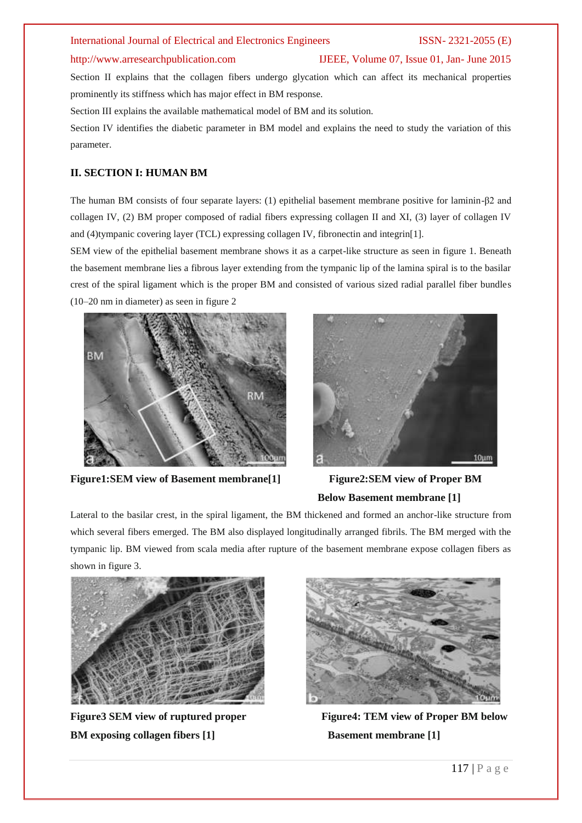### http://www.arresearchpublication.com IJEEE, Volume 07, Issue 01, Jan- June 2015

Section II explains that the collagen fibers undergo glycation which can affect its mechanical properties prominently its stiffness which has major effect in BM response.

Section III explains the available mathematical model of BM and its solution.

Section IV identifies the diabetic parameter in BM model and explains the need to study the variation of this parameter.

### **II. SECTION I: HUMAN BM**

The human BM consists of four separate layers: (1) epithelial basement membrane positive for laminin-β2 and collagen IV, (2) BM proper composed of radial fibers expressing collagen II and XI, (3) layer of collagen IV and (4)tympanic covering layer (TCL) expressing collagen IV, fibronectin and integrin[1].

SEM view of the epithelial basement membrane shows it as a carpet-like structure as seen in figure 1. Beneath the basement membrane lies a fibrous layer extending from the tympanic lip of the lamina spiral is to the basilar crest of the spiral ligament which is the proper BM and consisted of various sized radial parallel fiber bundles (10–20 nm in diameter) as seen in figure 2



**Figure1:SEM view of Basement membrane[1] Figure2:SEM view of Proper BM** 



## **Below Basement membrane [1]**

Lateral to the basilar crest, in the spiral ligament, the BM thickened and formed an anchor-like structure from which several fibers emerged. The BM also displayed longitudinally arranged fibrils. The BM merged with the tympanic lip. BM viewed from scala media after rupture of the basement membrane expose collagen fibers as shown in figure 3.



**BM exposing collagen fibers [1] Basement membrane [1]** 



Figure3 SEM view of ruptured proper Figure4: TEM view of Proper BM below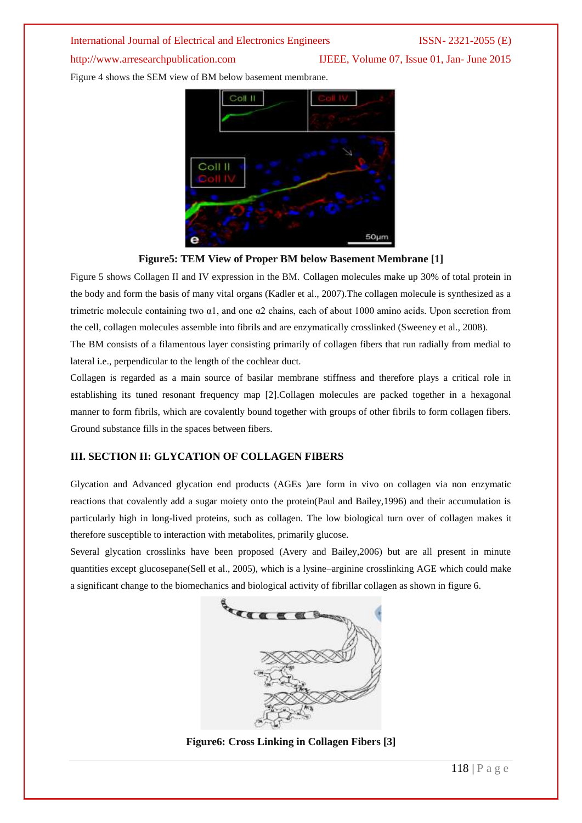http://www.arresearchpublication.com IJEEE, Volume 07, Issue 01, Jan- June 2015

Figure 4 shows the SEM view of BM below basement membrane.



### **Figure5: TEM View of Proper BM below Basement Membrane [1]**

Figure 5 shows Collagen II and IV expression in the BM. Collagen molecules make up 30% of total protein in the body and form the basis of many vital organs (Kadler et al., 2007).The collagen molecule is synthesized as a trimetric molecule containing two α1, and one α2 chains, each of about 1000 amino acids. Upon secretion from the cell, collagen molecules assemble into fibrils and are enzymatically crosslinked (Sweeney et al., 2008).

The BM consists of a filamentous layer consisting primarily of collagen fibers that run radially from medial to lateral i.e., perpendicular to the length of the cochlear duct.

Collagen is regarded as a main source of basilar membrane stiffness and therefore plays a critical role in establishing its tuned resonant frequency map [2].Collagen molecules are packed together in a hexagonal manner to form fibrils, which are covalently bound together with groups of other fibrils to form collagen fibers. Ground substance fills in the spaces between fibers.

### **III. SECTION II: GLYCATION OF COLLAGEN FIBERS**

Glycation and Advanced glycation end products (AGEs )are form in vivo on collagen via non enzymatic reactions that covalently add a sugar moiety onto the protein(Paul and Bailey,1996) and their accumulation is particularly high in long-lived proteins, such as collagen. The low biological turn over of collagen makes it therefore susceptible to interaction with metabolites, primarily glucose.

Several glycation crosslinks have been proposed (Avery and Bailey,2006) but are all present in minute quantities except glucosepane(Sell et al., 2005), which is a lysine–arginine crosslinking AGE which could make a significant change to the biomechanics and biological activity of fibrillar collagen as shown in figure 6.



**Figure6: Cross Linking in Collagen Fibers [3]**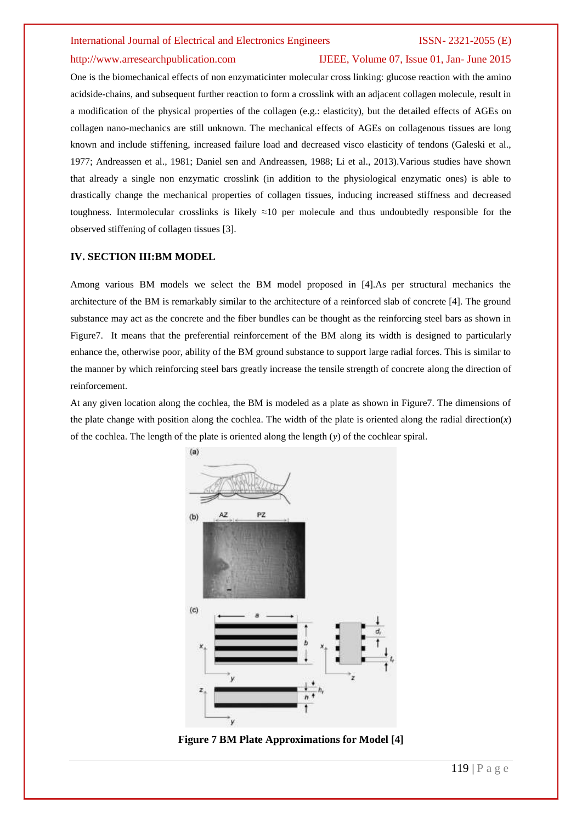### http://www.arresearchpublication.com IJEEE, Volume 07, Issue 01, Jan- June 2015

One is the biomechanical effects of non enzymaticinter molecular cross linking: glucose reaction with the amino acidside-chains, and subsequent further reaction to form a crosslink with an adjacent collagen molecule, result in a modification of the physical properties of the collagen (e.g.: elasticity), but the detailed effects of AGEs on collagen nano-mechanics are still unknown. The mechanical effects of AGEs on collagenous tissues are long known and include stiffening, increased failure load and decreased visco elasticity of tendons (Galeski et al., 1977; Andreassen et al., 1981; Daniel sen and Andreassen, 1988; Li et al., 2013).Various studies have shown that already a single non enzymatic crosslink (in addition to the physiological enzymatic ones) is able to drastically change the mechanical properties of collagen tissues, inducing increased stiffness and decreased toughness. Intermolecular crosslinks is likely ≈10 per molecule and thus undoubtedly responsible for the observed stiffening of collagen tissues [3].

### **IV. SECTION III:BM MODEL**

Among various BM models we select the BM model proposed in [4].As per structural mechanics the architecture of the BM is remarkably similar to the architecture of a reinforced slab of concrete [4]. The ground substance may act as the concrete and the fiber bundles can be thought as the reinforcing steel bars as shown in Figure7. It means that the preferential reinforcement of the BM along its width is designed to particularly enhance the, otherwise poor, ability of the BM ground substance to support large radial forces. This is similar to the manner by which reinforcing steel bars greatly increase the tensile strength of concrete along the direction of reinforcement.

At any given location along the cochlea, the BM is modeled as a plate as shown in Figure7. The dimensions of the plate change with position along the cochlea. The width of the plate is oriented along the radial direction $(x)$ of the cochlea. The length of the plate is oriented along the length (*y*) of the cochlear spiral.



**Figure 7 BM Plate Approximations for Model [4]**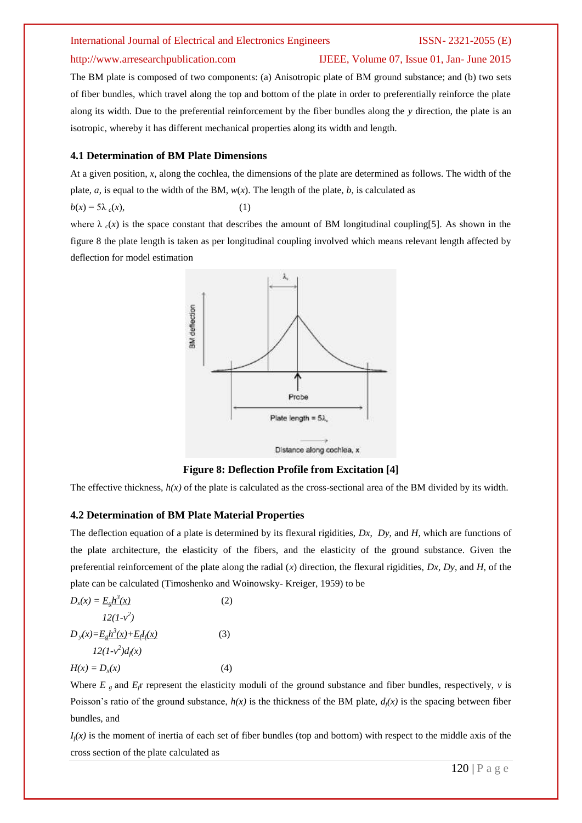### http://www.arresearchpublication.com IJEEE, Volume 07, Issue 01, Jan- June 2015

The BM plate is composed of two components: (a) Anisotropic plate of BM ground substance; and (b) two sets of fiber bundles, which travel along the top and bottom of the plate in order to preferentially reinforce the plate along its width. Due to the preferential reinforcement by the fiber bundles along the *y* direction, the plate is an isotropic, whereby it has different mechanical properties along its width and length.

### **4.1 Determination of BM Plate Dimensions**

At a given position, *x*, along the cochlea, the dimensions of the plate are determined as follows. The width of the plate,  $a$ , is equal to the width of the BM,  $w(x)$ . The length of the plate,  $b$ , is calculated as

 $b(x) = 5\lambda_c(x)$ , (1)

where  $\lambda_c(x)$  is the space constant that describes the amount of BM longitudinal coupling[5]. As shown in the figure 8 the plate length is taken as per longitudinal coupling involved which means relevant length affected by deflection for model estimation





The effective thickness,  $h(x)$  of the plate is calculated as the cross-sectional area of the BM divided by its width.

### **4.2 Determination of BM Plate Material Properties**

The deflection equation of a plate is determined by its flexural rigidities, *Dx*, *Dy*, and *H*, which are functions of the plate architecture, the elasticity of the fibers, and the elasticity of the ground substance. Given the preferential reinforcement of the plate along the radial (*x*) direction, the flexural rigidities, *Dx*, *Dy*, and *H*, of the plate can be calculated (Timoshenko and Woinowsky- Kreiger, 1959) to be

$$
D_x(x) = \underline{E_g h^3(x)}
$$
(2)  
12(1-v<sup>2</sup>)  

$$
D_y(x) = \underline{E_g h^3(x)} + \underline{E_d I_d(x)}
$$
(3)  
12(1-v<sup>2</sup>)d<sub>f</sub>(x) (3)  

$$
H(x) = D_x(x)
$$
(4)

Where  $E<sub>g</sub>$  and  $E<sub>f</sub>$  represent the elasticity moduli of the ground substance and fiber bundles, respectively,  $v$  is Poisson's ratio of the ground substance,  $h(x)$  is the thickness of the BM plate,  $d(x)$  is the spacing between fiber bundles, and

 $I_f(x)$  is the moment of inertia of each set of fiber bundles (top and bottom) with respect to the middle axis of the cross section of the plate calculated as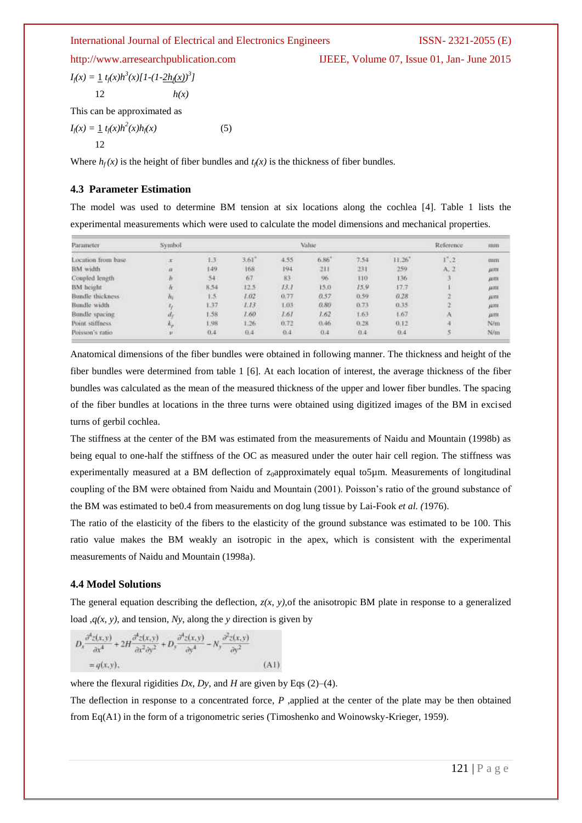http://www.arresearchpublication.com IJEEE, Volume 07, Issue 01, Jan- June 2015

$$
I_f(x) = \frac{1}{2} t_f(x) h^3(x) [1 - (1 - 2h_f(x))^3]
$$
  
12  $h(x)$ 

This can be approximated as

$$
I_f(x) = \frac{1}{2} t_f(x) h^2(x) h_f(x)
$$
 (5)

Where  $h_f(x)$  is the height of fiber bundles and  $t_f(x)$  is the thickness of fiber bundles.

### **4.3 Parameter Estimation**

The model was used to determine BM tension at six locations along the cochlea [4]. Table 1 lists the experimental measurements which were used to calculate the model dimensions and mechanical properties.

| Parameter          | Symbol       | Value |                     |      |      |      | Reference? | mm   |              |
|--------------------|--------------|-------|---------------------|------|------|------|------------|------|--------------|
| Location from base | 工            | 1.3   | $3.61$ <sup>*</sup> | 4.55 | 6.86 | 7.54 | 11.26      | 1.2  | mm           |
| BM width           | $\alpha$     | 149   | 168                 | 194  | 211  | 231  | 259        | A. 2 | <b>JEITE</b> |
| Coupled length     |              | 54    | 67                  | 83.  | 96   | 110  | 136        |      | $\mu$ m      |
| BM height          |              | 8.54  | 12.5                | 13.1 | 15.0 | 15.9 | 17.7       |      | $\mu$ m      |
| Bundle thickness   | м            | 1.5   | 1.02                | 0.77 | 0.57 | 0.59 | 0.28       |      | дати         |
| Bundle width       | τ.           | 1.37  | 113                 | L03  | 0.80 | 0.73 | 0.35       |      | μт           |
| Bundle spacing     | a            | 1.58  | 1.60                | 1.61 | 1.62 | 1.63 | 1.67       |      | <b>AIII</b>  |
| Point stiffness.   | $r_{\rm cr}$ | 1.98  | 1.26                | 0.72 | 0.46 | 0.28 | 0.12       |      | N/m          |
| Poisson's ratio    | $\nu$        | 0.4   | 0.4                 | 0.4  | 0.4  | 0.4  | 0.4        |      | N/m          |

Anatomical dimensions of the fiber bundles were obtained in following manner. The thickness and height of the fiber bundles were determined from table 1 [6]. At each location of interest, the average thickness of the fiber bundles was calculated as the mean of the measured thickness of the upper and lower fiber bundles. The spacing of the fiber bundles at locations in the three turns were obtained using digitized images of the BM in excised turns of gerbil cochlea.

The stiffness at the center of the BM was estimated from the measurements of Naidu and Mountain (1998b) as being equal to one-half the stiffness of the OC as measured under the outer hair cell region. The stiffness was experimentally measured at a BM deflection of z<sub>0</sub>approximately equal to5µm. Measurements of longitudinal coupling of the BM were obtained from Naidu and Mountain (2001). Poisson's ratio of the ground substance of the BM was estimated to be0.4 from measurements on dog lung tissue by Lai-Fook *et al. (*1976).

The ratio of the elasticity of the fibers to the elasticity of the ground substance was estimated to be 100. This ratio value makes the BM weakly an isotropic in the apex, which is consistent with the experimental measurements of Naidu and Mountain (1998a).

### **4.4 Model Solutions**

The general equation describing the deflection,  $z(x, y)$ , of the anisotropic BM plate in response to a generalized load  $,q(x, y)$ , and tension, *Ny*, along the *y* direction is given by

$$
\begin{split} D_x \frac{\partial^4 z(x,y)}{\partial x^4} + 2H \frac{\partial^4 z(x,y)}{\partial x^2 \partial y^2} + D_y \frac{\partial^4 z(x,y)}{\partial y^4} - N_y \frac{\partial^2 z(x,y)}{\partial y^2} \\ = q(x,y), \end{split} \tag{A}
$$

where the flexural rigidities  $Dx$ ,  $Dy$ , and  $H$  are given by Eqs (2)–(4).

The deflection in response to a concentrated force, *P* ,applied at the center of the plate may be then obtained from Eq(A1) in the form of a trigonometric series (Timoshenko and Woinowsky-Krieger, 1959).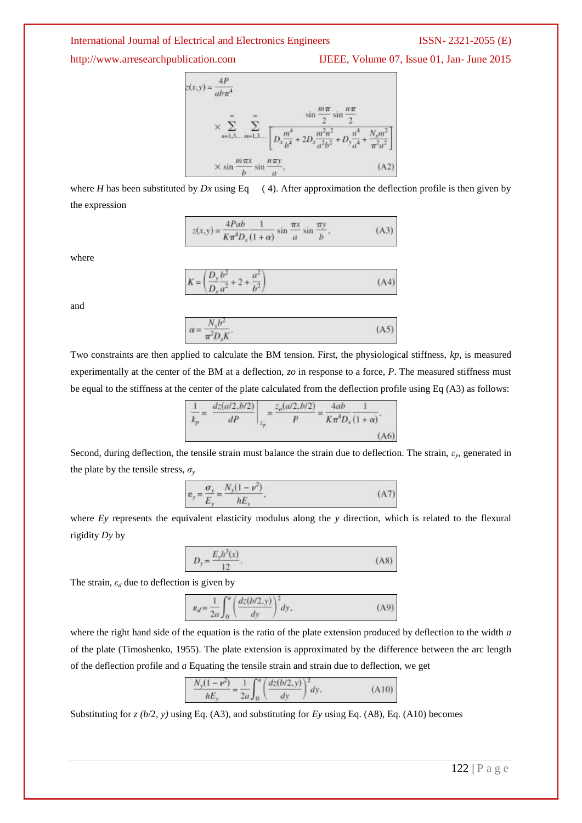http://www.arresearchpublication.com IJEEE, Volume 07, Issue 01, Jan- June 2015

$$
c(x,y) = \frac{4P}{ab\pi^4}
$$
  
\n
$$
\times \sum_{n=1,3...}^{\infty} \sum_{m=1,3...}^{\infty} \frac{\sin\frac{m\pi}{2}\sin\frac{n\pi}{2}}{\left[D_x \frac{m^4}{b^4} + 2D_x \frac{m^2n^2}{a^2b^2} + D_y \frac{n^4}{a^4} + \frac{N_s m^2}{\pi^2 a^2}\right]}
$$
  
\n
$$
\times \sin\frac{m\pi x}{b}\sin\frac{n\pi y}{a},
$$
 (A2)

where *H* has been substituted by *Dx* using Eq  $(4)$ . After approximation the deflection profile is then given by the expression

$$
z(x,y) = \frac{4Pab}{K\pi^4 D_x (1+\alpha)} \sin \frac{\pi x}{a} \sin \frac{\pi y}{b},
$$
 (A3)

where

$$
K = \left(\frac{D_y b^2}{D_x a^2} + 2 + \frac{a^2}{b^2}\right)
$$
 (A4)

and

$$
\alpha = \frac{N_{\gamma}b^2}{\pi^2 D_{\gamma}K}.
$$
 (A5)

Two constraints are then applied to calculate the BM tension. First, the physiological stiffness, *kp*, is measured experimentally at the center of the BM at a deflection, *zo* in response to a force, *P*. The measured stiffness must be equal to the stiffness at the center of the plate calculated from the deflection profile using Eq (A3) as follows:

$$
\frac{1}{k_p} = \left. \frac{dz(a/2, b/2)}{dP} \right|_{z_p} = \frac{z_o(a/2, b/2)}{P} = \frac{4ab}{K\pi^4 D_x (1 + \alpha)}.
$$
\n(A6)

Second, during deflection, the tensile strain must balance the strain due to deflection. The strain,  $\varepsilon_y$ , generated in the plate by the tensile stress,  $\sigma$ <sup>*y*</sup>

$$
\varepsilon_y = \frac{\sigma_y}{E_y} = \frac{N_y(1 - \nu^2)}{hE_y},\tag{A7}
$$

where *Ey* represents the equivalent elasticity modulus along the *y* direction, which is related to the flexural rigidity *Dy* by

$$
D_y = \frac{E_y h^3(x)}{12}.
$$
 (A8)

The strain,  $\varepsilon_d$  due to deflection is given by

$$
\varepsilon_d = \frac{1}{2a} \int_0^a \left( \frac{dz(b/2, y)}{dy} \right)^2 dy, \tag{A9}
$$

where the right hand side of the equation is the ratio of the plate extension produced by deflection to the width *a*  of the plate (Timoshenko, 1955). The plate extension is approximated by the difference between the arc length of the deflection profile and *a* Equating the tensile strain and strain due to deflection, we get

$$
\frac{N_y(1-\nu^2)}{hE_y} = \frac{1}{2a} \int_0^a \left(\frac{dz(b/2, y)}{dy}\right)^2 dy.
$$
 (A10)

Substituting for *z (b*/2, *y)* using Eq. (A3), and substituting for *Ey* using Eq. (A8), Eq. (A10) becomes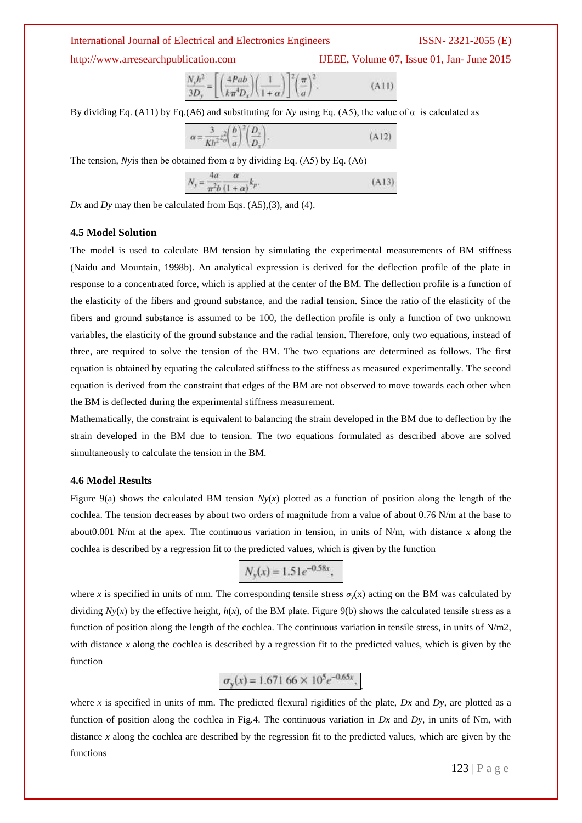http://www.arresearchpublication.com IJEEE, Volume 07, Issue 01, Jan- June 2015

| $\frac{N_y h^2}{3D_y} = \left[ \left( \frac{4Pab}{k \pi^4 D_x} \right) \left( \frac{1}{1+\alpha} \right) \right]^2 \left( \frac{\pi}{a} \right)^2.$ |  | (A11) |
|-----------------------------------------------------------------------------------------------------------------------------------------------------|--|-------|

By dividing Eq. (A11) by Eq. (A6) and substituting for *Ny* using Eq. (A5), the value of  $\alpha$  is calculated as

| $\alpha = \frac{3}{Kh^2} z_o^2 \left(\frac{b}{a}\right)^2 \left(\frac{D_y}{D_x}\right).$ | (A12) |
|------------------------------------------------------------------------------------------|-------|
|                                                                                          |       |

The tension, *Ny* is then be obtained from  $\alpha$  by dividing Eq. (A5) by Eq. (A6)

| 4a<br>α                                             |       |
|-----------------------------------------------------|-------|
| ${\cal N}$<br>$=$<br>$\pi^2 b$ (1<br>N<br>$+\alpha$ | (A13) |

*Dx* and *Dy* may then be calculated from Eqs. (A5),(3), and (4).

### **4.5 Model Solution**

The model is used to calculate BM tension by simulating the experimental measurements of BM stiffness (Naidu and Mountain, 1998b). An analytical expression is derived for the deflection profile of the plate in response to a concentrated force, which is applied at the center of the BM. The deflection profile is a function of the elasticity of the fibers and ground substance, and the radial tension. Since the ratio of the elasticity of the fibers and ground substance is assumed to be 100, the deflection profile is only a function of two unknown variables, the elasticity of the ground substance and the radial tension. Therefore, only two equations, instead of three, are required to solve the tension of the BM. The two equations are determined as follows. The first equation is obtained by equating the calculated stiffness to the stiffness as measured experimentally. The second equation is derived from the constraint that edges of the BM are not observed to move towards each other when the BM is deflected during the experimental stiffness measurement.

Mathematically, the constraint is equivalent to balancing the strain developed in the BM due to deflection by the strain developed in the BM due to tension. The two equations formulated as described above are solved simultaneously to calculate the tension in the BM.

### **4.6 Model Results**

Figure 9(a) shows the calculated BM tension  $Ny(x)$  plotted as a function of position along the length of the cochlea. The tension decreases by about two orders of magnitude from a value of about 0.76 N/m at the base to about0.001 N/m at the apex. The continuous variation in tension, in units of N/m, with distance *x* along the cochlea is described by a regression fit to the predicted values, which is given by the function

$$
N_{y}(x) = 1.51e^{-0.58x},
$$

where *x* is specified in units of mm. The corresponding tensile stress  $\sigma_y(x)$  acting on the BM was calculated by dividing  $Ny(x)$  by the effective height,  $h(x)$ , of the BM plate. Figure 9(b) shows the calculated tensile stress as a function of position along the length of the cochlea. The continuous variation in tensile stress, in units of N/m2, with distance *x* along the cochlea is described by a regression fit to the predicted values, which is given by the function

$$
\sigma_{\rm y}(x) = 1.671\,66 \times 10^5 e^{-0.65x},
$$

.

where *x* is specified in units of mm. The predicted flexural rigidities of the plate, *Dx* and *Dy*, are plotted as a function of position along the cochlea in Fig.4. The continuous variation in *Dx* and *Dy*, in units of Nm, with distance *x* along the cochlea are described by the regression fit to the predicted values, which are given by the functions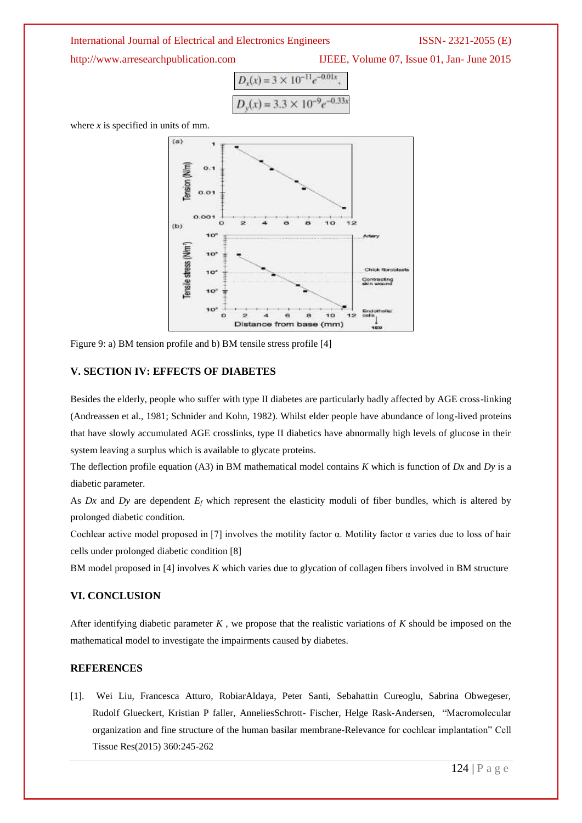http://www.arresearchpublication.com IJEEE, Volume 07, Issue 01, Jan- June 2015

$$
D_x(x) = 3 \times 10^{-11} e^{-0.01x},
$$
  

$$
D_y(x) = 3.3 \times 10^{-9} e^{-0.33x}
$$

where *x* is specified in units of mm.



Figure 9: a) BM tension profile and b) BM tensile stress profile [4]

### **V. SECTION IV: EFFECTS OF DIABETES**

Besides the elderly, people who suffer with type II diabetes are particularly badly affected by AGE cross-linking (Andreassen et al., 1981; Schnider and Kohn, 1982). Whilst elder people have abundance of long-lived proteins that have slowly accumulated AGE crosslinks, type II diabetics have abnormally high levels of glucose in their system leaving a surplus which is available to glycate proteins.

The deflection profile equation (A3) in BM mathematical model contains *K* which is function of *Dx* and *Dy* is a diabetic parameter.

As *Dx* and *Dy* are dependent  $E_f$  which represent the elasticity moduli of fiber bundles, which is altered by prolonged diabetic condition.

Cochlear active model proposed in [7] involves the motility factor α. Motility factor α varies due to loss of hair cells under prolonged diabetic condition [8]

BM model proposed in [4] involves *K* which varies due to glycation of collagen fibers involved in BM structure

### **VI. CONCLUSION**

After identifying diabetic parameter *K ,* we propose that the realistic variations of *K* should be imposed on the mathematical model to investigate the impairments caused by diabetes.

### **REFERENCES**

[1]. Wei Liu, Francesca Atturo, RobiarAldaya, Peter Santi, Sebahattin Cureoglu, Sabrina Obwegeser, Rudolf Glueckert, Kristian P faller, AnneliesSchrott- Fischer, Helge Rask-Andersen, "Macromolecular organization and fine structure of the human basilar membrane-Relevance for cochlear implantation" Cell Tissue Res(2015) 360:245-262